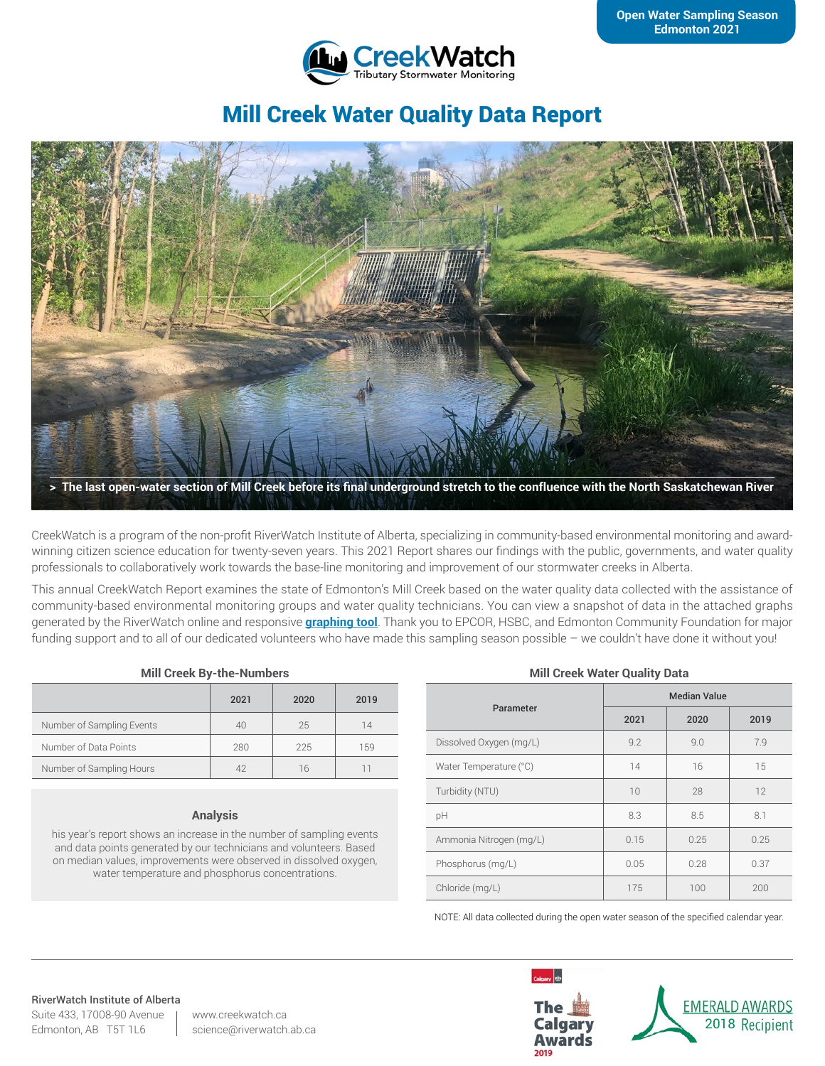

# Mill Creek Water Quality Data Report



CreekWatch is a program of the non-profit RiverWatch Institute of Alberta, specializing in community-based environmental monitoring and awardwinning citizen science education for twenty-seven years. This 2021 Report shares our findings with the public, governments, and water quality professionals to collaboratively work towards the base-line monitoring and improvement of our stormwater creeks in Alberta.

This annual CreekWatch Report examines the state of Edmonton's Mill Creek based on the water quality data collected with the assistance of community-based environmental monitoring groups and water quality technicians. You can view a snapshot of data in the attached graphs generated by the RiverWatch online and responsive **[graphing tool](http://www.riverwatch.ab.ca/index.php/science/data)**. Thank you to EPCOR, HSBC, and Edmonton Community Foundation for major funding support and to all of our dedicated volunteers who have made this sampling season possible – we couldn't have done it without you!

#### **Mill Creek By-the-Numbers**

|                           | 2021     | 2020 | 2019 |
|---------------------------|----------|------|------|
| Number of Sampling Events | 40       | 25   | 14   |
| Number of Data Points     | 280      | 225  | 159  |
| Number of Sampling Hours  | $\Delta$ | 16   |      |

#### **Analysis**

his year's report shows an increase in the number of sampling events and data points generated by our technicians and volunteers. Based on median values, improvements were observed in dissolved oxygen, water temperature and phosphorus concentrations.

#### **Mill Creek Water Quality Data**

| Parameter               | <b>Median Value</b> |      |      |
|-------------------------|---------------------|------|------|
|                         | 2021                | 2020 | 2019 |
| Dissolved Oxygen (mg/L) | 9.2                 | 9.0  | 7.9  |
| Water Temperature (°C)  | 14                  | 16   | 15   |
| Turbidity (NTU)         | 10                  | 28   | 12   |
| pH                      | 8.3                 | 8.5  | 8.1  |
| Ammonia Nitrogen (mg/L) | 0.15                | 0.25 | 0.25 |
| Phosphorus (mg/L)       | 0.05                | 0.28 | 0.37 |
| Chloride (mg/L)         | 175                 | 100  | 200  |

NOTE: All data collected during the open water season of the specified calendar year.

#### RiverWatch Institute of Alberta Suite 433, 17008-90 Avenue

Edmonton, AB T5T 1L6

www.creekwatch.ca science@riverwatch.ab.ca